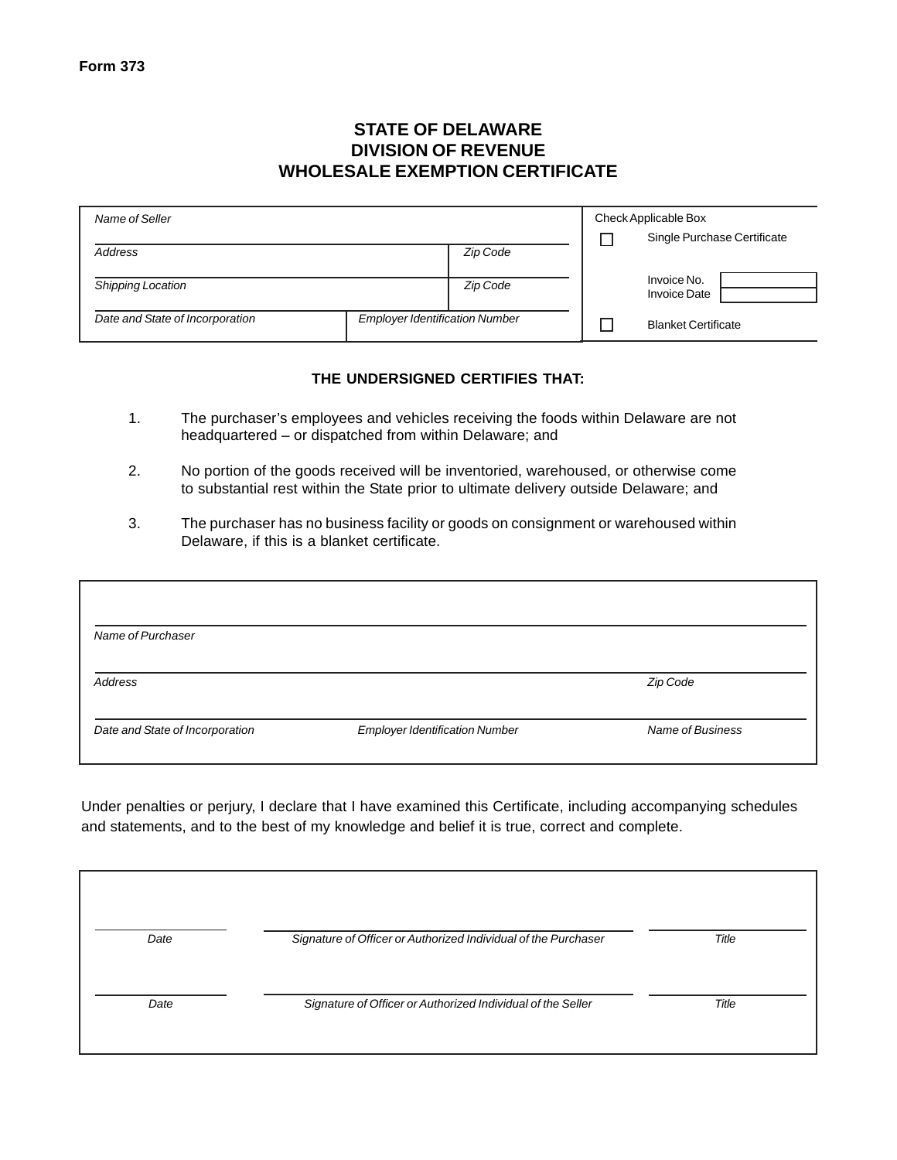## **STATE OF DELAWARE DIVISION OF REVENUE WHOLESALE EXEMPTION CERTIFICATE**

| Name of Seller                  |                                       | Check Applicable Box |  |                                    |
|---------------------------------|---------------------------------------|----------------------|--|------------------------------------|
|                                 |                                       |                      |  | Single Purchase Certificate        |
| Address                         |                                       | Zip Code             |  |                                    |
| <b>Shipping Location</b>        |                                       | <b>Zip Code</b>      |  | Invoice No.<br><b>Invoice Date</b> |
| Date and State of Incorporation | <b>Employer Identification Number</b> |                      |  | <b>Blanket Certificate</b>         |

## **THE UNDERSIGNED CERTIFIES THAT:**

- 1. The purchaser's employees and vehicles receiving the foods within Delaware are not headquartered – or dispatched from within Delaware; and
- 2. No portion of the goods received will be inventoried, warehoused, or otherwise come to substantial rest within the State prior to ultimate delivery outside Delaware; and
- 3. The purchaser has no business facility or goods on consignment or warehoused within Delaware, if this is a blanket certificate.

| Name of Purchaser               |                                       |                  |
|---------------------------------|---------------------------------------|------------------|
| <b>Address</b>                  |                                       | Zip Code         |
| Date and State of Incorporation | <b>Employer Identification Number</b> | Name of Business |

Under penalties or perjury, I declare that I have examined this Certificate, including accompanying schedules and statements, and to the best of my knowledge and belief it is true, correct and complete.

| Date | Signature of Officer or Authorized Individual of the Purchaser | Title |
|------|----------------------------------------------------------------|-------|
| Date | Signature of Officer or Authorized Individual of the Seller    | Title |